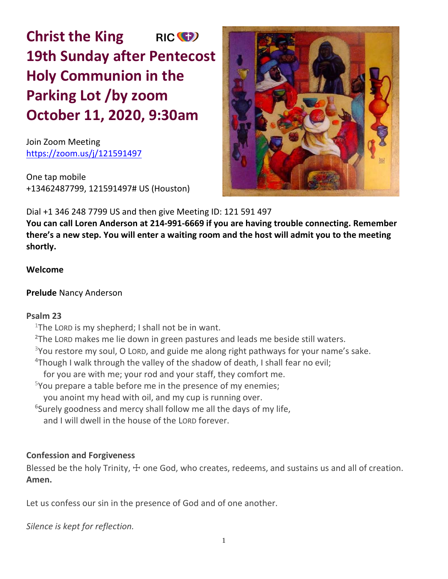**Christ the King** RIC<sup>(C</sup>) **19th Sunday after Pentecost Holy Communion in the Parking Lot /by zoom October 11, 2020, 9:30am**

Join Zoom Meeting https://zoom.us/j/121591497

One tap mobile +13462487799, 121591497# US (Houston)



Dial +1 346 248 7799 US and then give Meeting ID: 121 591 497

**You can call Loren Anderson at 214-991-6669 if you are having trouble connecting. Remember there's a new step. You will enter a waiting room and the host will admit you to the meeting shortly.** 

# **Welcome**

# **Prelude** Nancy Anderson

# **Psalm 23**

<sup>1</sup>The LORD is my shepherd; I shall not be in want.

**<sup>2</sup>**The LORD makes me lie down in green pastures and leads me beside still waters.

 $3$ You restore my soul, O LORD, and guide me along right pathways for your name's sake.

**<sup>4</sup>**Though I walk through the valley of the shadow of death, I shall fear no evil;

for you are with me; your rod and your staff, they comfort me.

 $5$ You prepare a table before me in the presence of my enemies;

you anoint my head with oil, and my cup is running over.

**6** Surely goodness and mercy shall follow me all the days of my life,

and I will dwell in the house of the LORD forever.

# **Confession and Forgiveness**

Blessed be the holy Trinity,  $\pm$  one God, who creates, redeems, and sustains us and all of creation. **Amen.**

Let us confess our sin in the presence of God and of one another.

*Silence is kept for reflection.*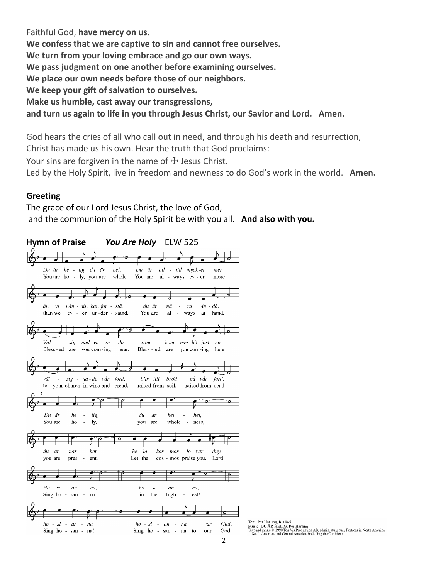Faithful God, **have mercy on us. We confess that we are captive to sin and cannot free ourselves. We turn from your loving embrace and go our own ways. We pass judgment on one another before examining ourselves. We place our own needs before those of our neighbors. We keep your gift of salvation to ourselves. Make us humble, cast away our transgressions, and turn us again to life in you through Jesus Christ, our Savior and Lord. Amen.**

God hears the cries of all who call out in need, and through his death and resurrection, Christ has made us his own. Hear the truth that God proclaims:

Your sins are forgiven in the name of  $\pm$  Jesus Christ.

Led by the Holy Spirit, live in freedom and newness to do God's work in the world. **Amen.**

#### **Greeting**

The grace of our Lord Jesus Christ, the love of God, and the communion of the Holy Spirit be with you all. **And also with you.**



Text: Per Harling, b. 1945<br>Music: DU ÂR HELIG, Per Harling<br>Text and music © 1990 Ton Vis Produktion AB, admin. Augsburg Fortress in North America,<br>South America, and Central America, including the Caribbean.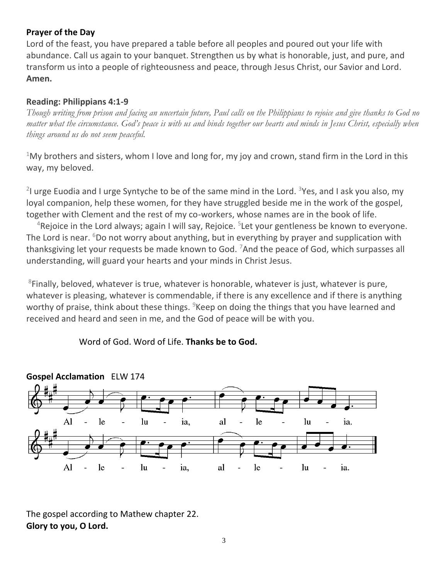# **Prayer of the Day**

Lord of the feast, you have prepared a table before all peoples and poured out your life with abundance. Call us again to your banquet. Strengthen us by what is honorable, just, and pure, and transform us into a people of righteousness and peace, through Jesus Christ, our Savior and Lord. **Amen.**

## **Reading: Philippians 4:1-9**

*Though writing from prison and facing an uncertain future, Paul calls on the Philippians to rejoice and give thanks to God no matter what the circumstance. God's peace is with us and binds together our hearts and minds in Jesus Christ, especially when things around us do not seem peaceful.*

 $1$ My brothers and sisters, whom I love and long for, my joy and crown, stand firm in the Lord in this way, my beloved.

<sup>2</sup>I urge Euodia and I urge Syntyche to be of the same mind in the Lord. <sup>3</sup>Yes, and I ask you also, my loyal companion, help these women, for they have struggled beside me in the work of the gospel, together with Clement and the rest of my co-workers, whose names are in the book of life.

<sup>4</sup>Rejoice in the Lord always; again I will say, Rejoice. <sup>5</sup>Let your gentleness be known to everyone. The Lord is near.  $6D$  not worry about anything, but in everything by prayer and supplication with thanksgiving let your requests be made known to God. <sup>7</sup>And the peace of God, which surpasses all understanding, will guard your hearts and your minds in Christ Jesus.

<sup>8</sup>Finally, beloved, whatever is true, whatever is honorable, whatever is just, whatever is pure, whatever is pleasing, whatever is commendable, if there is any excellence and if there is anything worthy of praise, think about these things.  $9$ Keep on doing the things that you have learned and received and heard and seen in me, and the God of peace will be with you.

Word of God. Word of Life. **Thanks be to God.**



The gospel according to Mathew chapter 22. **Glory to you, O Lord.**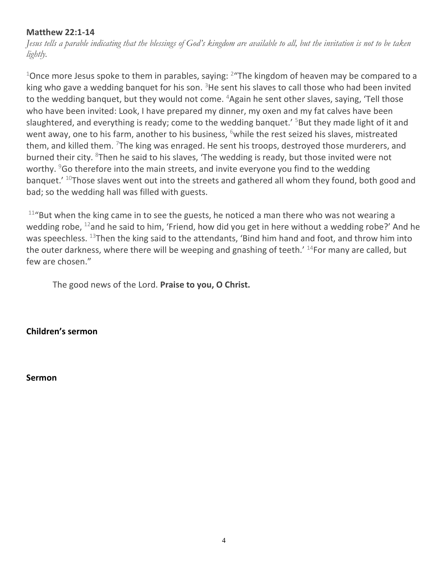# **Matthew 22:1-14**

*Jesus tells a parable indicating that the blessings of God's kingdom are available to all, but the invitation is not to be taken lightly.*

 $^{1}$ Once more Jesus spoke to them in parables, saying:  $^{2}$ "The kingdom of heaven may be compared to a king who gave a wedding banquet for his son.  $3$ He sent his slaves to call those who had been invited to the wedding banquet, but they would not come. <sup>4</sup>Again he sent other slaves, saying, 'Tell those who have been invited: Look, I have prepared my dinner, my oxen and my fat calves have been slaughtered, and everything is ready; come to the wedding banquet.<sup> $5$ </sup>But they made light of it and went away, one to his farm, another to his business,  $6$  while the rest seized his slaves, mistreated them, and killed them.  $7$ The king was enraged. He sent his troops, destroyed those murderers, and burned their city.  $8$ Then he said to his slaves, 'The wedding is ready, but those invited were not worthy.  $96$  therefore into the main streets, and invite everyone you find to the wedding banquet.'  $^{10}$ Those slaves went out into the streets and gathered all whom they found, both good and bad; so the wedding hall was filled with guests.

 $11^{\prime\prime}$ But when the king came in to see the guests, he noticed a man there who was not wearing a wedding robe,  $^{12}$ and he said to him, 'Friend, how did you get in here without a wedding robe?' And he was speechless. <sup>13</sup>Then the king said to the attendants, 'Bind him hand and foot, and throw him into the outer darkness, where there will be weeping and gnashing of teeth.<sup>' 14</sup>For many are called, but few are chosen."

The good news of the Lord. **Praise to you, O Christ.**

**Children's sermon**

**Sermon**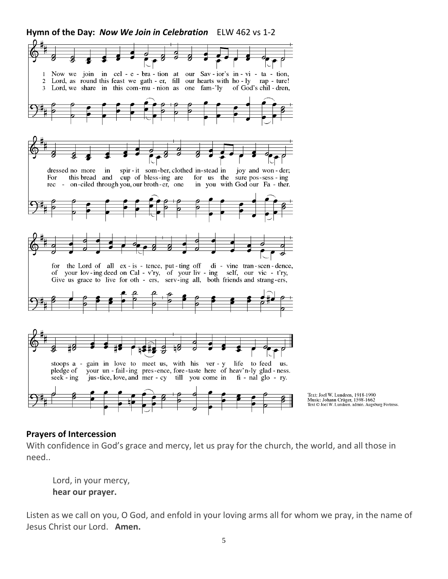

Text: Joel W. Lundeen, 1918-1990<br>Music: Johann Crüger, 1598-1662<br>Text © Joel W. Lundeen, admin. Augsburg Fortress.

# **Prayers of Intercession**

With confidence in God's grace and mercy, let us pray for the church, the world, and all those in need..

Lord, in your mercy, **hear our prayer.**

Listen as we call on you, O God, and enfold in your loving arms all for whom we pray, in the name of Jesus Christ our Lord. **Amen.**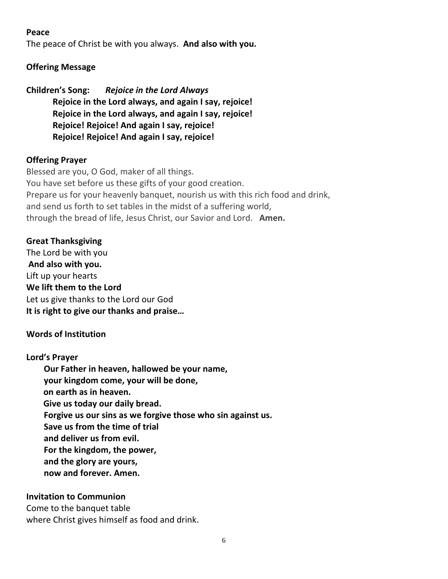## **Peace**

The peace of Christ be with you always. **And also with you.**

# **Offering Message**

**Children's Song:** *Rejoice in the Lord Always* **Rejoice in the Lord always, and again I say, rejoice! Rejoice in the Lord always, and again I say, rejoice! Rejoice! Rejoice! And again I say, rejoice! Rejoice! Rejoice! And again I say, rejoice!**

## **Offering Prayer**

Blessed are you, O God, maker of all things. You have set before us these gifts of your good creation. Prepare us for your heavenly banquet, nourish us with this rich food and drink, and send us forth to set tables in the midst of a suffering world, through the bread of life, Jesus Christ, our Savior and Lord. **Amen.**

## **Great Thanksgiving**

The Lord be with you **And also with you.** Lift up your hearts **We lift them to the Lord** Let us give thanks to the Lord our God **It is right to give our thanks and praise…** 

# **Words of Institution**

## **Lord's Prayer**

**Our Father in heaven, hallowed be your name, your kingdom come, your will be done, on earth as in heaven. Give us today our daily bread. Forgive us our sins as we forgive those who sin against us. Save us from the time of trial and deliver us from evil. For the kingdom, the power, and the glory are yours, now and forever. Amen.**

## **Invitation to Communion**

Come to the banquet table where Christ gives himself as food and drink.